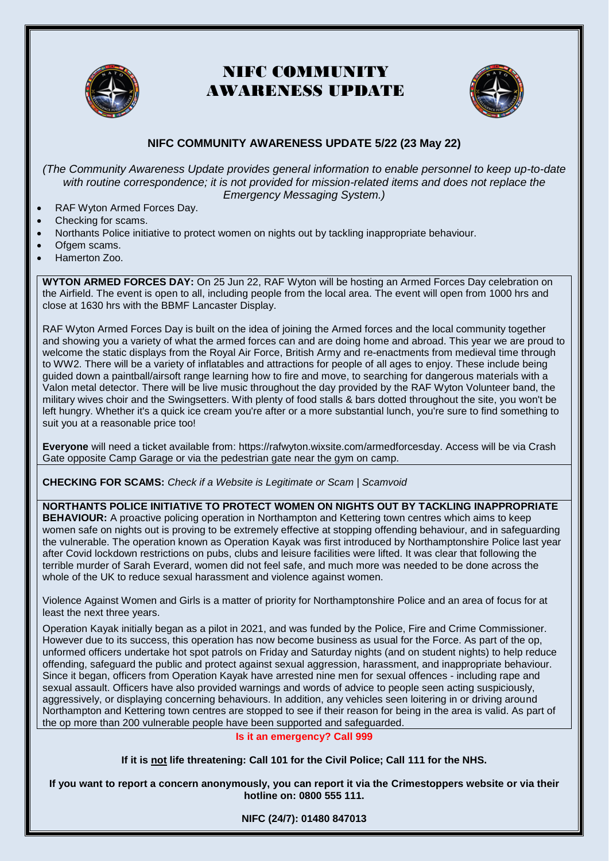

# NIFC COMMUNITY AWARENESS UPDATE



### **NIFC COMMUNITY AWARENESS UPDATE 5/22 (23 May 22)**

*(The Community Awareness Update provides general information to enable personnel to keep up-to-date*  with routine correspondence; it is not provided for mission-related items and does not replace the *Emergency Messaging System.)*

- RAF Wyton Armed Forces Day.
- Checking for scams.
- Northants Police initiative to protect women on nights out by tackling inappropriate behaviour.
- Ofgem scams.
- Hamerton Zoo.

**WYTON ARMED FORCES DAY:** On 25 Jun 22, RAF Wyton will be hosting an Armed Forces Day celebration on the Airfield. The event is open to all, including people from the local area. The event will open from 1000 hrs and close at 1630 hrs with the BBMF Lancaster Display.

RAF Wyton Armed Forces Day is built on the idea of joining the Armed forces and the local community together and showing you a variety of what the armed forces can and are doing home and abroad. This year we are proud to welcome the static displays from the Royal Air Force, British Army and re-enactments from medieval time through to WW2. There will be a variety of inflatables and attractions for people of all ages to enjoy. These include being guided down a paintball/airsoft range learning how to fire and move, to searching for dangerous materials with a Valon metal detector. There will be live music throughout the day provided by the RAF Wyton Volunteer band, the military wives choir and the Swingsetters. With plenty of food stalls & bars dotted throughout the site, you won't be left hungry. Whether it's a quick ice cream you're after or a more substantial lunch, you're sure to find something to suit you at a reasonable price too!

**Everyone** will need a ticket available from: [https://rafwyton.wixsite.com/armedforcesday.](https://gbr01.safelinks.protection.outlook.com/?url=https%3A%2F%2Frafwyton.wixsite.com%2Farmedforcesday&data=05%7C01%7CWesley.Polfrey101%40mod.gov.uk%7C6e183678da5d4631888508da3a476467%7Cbe7760ed5953484bae95d0a16dfa09e5%7C0%7C0%7C637886375534380039%7CUnknown%7CTWFpbGZsb3d8eyJWIjoiMC4wLjAwMDAiLCJQIjoiV2luMzIiLCJBTiI6Ik1haWwiLCJXVCI6Mn0%3D%7C3000%7C%7C%7C&sdata=e1eCIPybZ5WLR%2Br%2BoFA6sZo%2Bxw8PkcXDPGiGWrT5NNE%3D&reserved=0) Access will be via Crash Gate opposite Camp Garage or via the pedestrian gate near the gym on camp.

**CHECKING FOR SCAMS:** *[Check if a Website is Legitimate or Scam | Scamvoid](https://www.scamvoid.net/)*

### **NORTHANTS POLICE INITIATIVE TO PROTECT WOMEN ON NIGHTS OUT BY TACKLING INAPPROPRIATE**

**BEHAVIOUR:** A proactive policing operation in Northampton and Kettering town centres which aims to keep women safe on nights out is proving to be extremely effective at stopping offending behaviour, and in safeguarding the vulnerable. The operation known as Operation Kayak was first introduced by Northamptonshire Police last year after Covid lockdown restrictions on pubs, clubs and leisure facilities were lifted. It was clear that following the terrible murder of Sarah Everard, women did not feel safe, and much more was needed to be done across the whole of the UK to reduce sexual harassment and violence against women.

Violence Against Women and Girls is a matter of priority for Northamptonshire Police and an area of focus for at least the next three years.

Operation Kayak initially began as a pilot in 2021, and was funded by the Police, Fire and Crime Commissioner. However due to its success, this operation has now become business as usual for the Force. As part of the op, unformed officers undertake hot spot patrols on Friday and Saturday nights (and on student nights) to help reduce offending, safeguard the public and protect against sexual aggression, harassment, and inappropriate behaviour. Since it began, officers from Operation Kayak have arrested nine men for sexual offences - including rape and sexual assault. Officers have also provided warnings and words of advice to people seen acting suspiciously, aggressively, or displaying concerning behaviours. In addition, any vehicles seen loitering in or driving around Northampton and Kettering town centres are stopped to see if their reason for being in the area is valid. As part of the op more than 200 vulnerable people have been supported and safeguarded.

#### **Is it an emergency? Call [999](tel:999)**

**If it is not life threatening: Call 101 for the Civil Police; Call 111 for the NHS.**

**If you want to report a concern anonymously, you can report it via the [Crimestoppers website](https://crimestoppers-uk.org/give-information/give-information-online/) or via their hotline on: 0800 555 111.**

**NIFC (24/7): 01480 847013**